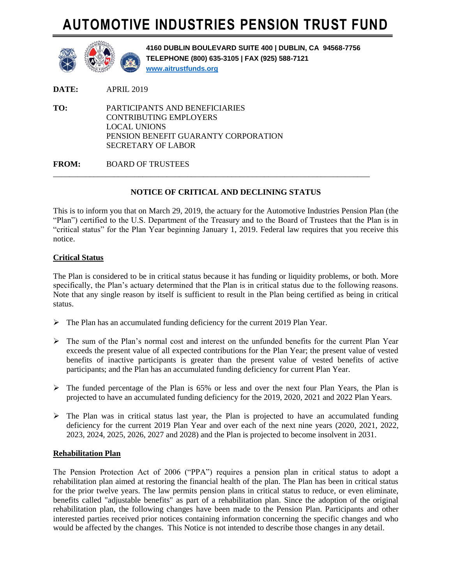# **AUTOMOTIVE INDUSTRIES PENSION TRUST FUND**



**4160 DUBLIN BOULEVARD SUITE 400 | DUBLIN, CA 94568-7756 TELEPHONE (800) 635-3105 | FAX (925) 588-7121 [www.aitrustfunds.org](http://www.aitrustfunds.org/)**

**DATE:** APRIL 2019

**TO:** PARTICIPANTS AND BENEFICIARIES CONTRIBUTING EMPLOYERS LOCAL UNIONS PENSION BENEFIT GUARANTY CORPORATION SECRETARY OF LABOR

**FROM:** BOARD OF TRUSTEES

## **NOTICE OF CRITICAL AND DECLINING STATUS**

\_\_\_\_\_\_\_\_\_\_\_\_\_\_\_\_\_\_\_\_\_\_\_\_\_\_\_\_\_\_\_\_\_\_\_\_\_\_\_\_\_\_\_\_\_\_\_\_\_\_\_\_\_\_\_\_\_\_\_\_\_\_\_\_\_\_\_\_\_\_\_\_\_\_\_\_\_\_

This is to inform you that on March 29, 2019, the actuary for the Automotive Industries Pension Plan (the "Plan") certified to the U.S. Department of the Treasury and to the Board of Trustees that the Plan is in "critical status" for the Plan Year beginning January 1, 2019. Federal law requires that you receive this notice.

## **Critical Status**

The Plan is considered to be in critical status because it has funding or liquidity problems, or both. More specifically, the Plan's actuary determined that the Plan is in critical status due to the following reasons. Note that any single reason by itself is sufficient to result in the Plan being certified as being in critical status.

- $\triangleright$  The Plan has an accumulated funding deficiency for the current 2019 Plan Year.
- $\triangleright$  The sum of the Plan's normal cost and interest on the unfunded benefits for the current Plan Year exceeds the present value of all expected contributions for the Plan Year; the present value of vested benefits of inactive participants is greater than the present value of vested benefits of active participants; and the Plan has an accumulated funding deficiency for current Plan Year.
- $\triangleright$  The funded percentage of the Plan is 65% or less and over the next four Plan Years, the Plan is projected to have an accumulated funding deficiency for the 2019, 2020, 2021 and 2022 Plan Years.
- $\triangleright$  The Plan was in critical status last year, the Plan is projected to have an accumulated funding deficiency for the current 2019 Plan Year and over each of the next nine years (2020, 2021, 2022, 2023, 2024, 2025, 2026, 2027 and 2028) and the Plan is projected to become insolvent in 2031.

### **Rehabilitation Plan**

The Pension Protection Act of 2006 ("PPA") requires a pension plan in critical status to adopt a rehabilitation plan aimed at restoring the financial health of the plan. The Plan has been in critical status for the prior twelve years. The law permits pension plans in critical status to reduce, or even eliminate, benefits called "adjustable benefits" as part of a rehabilitation plan. Since the adoption of the original rehabilitation plan, the following changes have been made to the Pension Plan. Participants and other interested parties received prior notices containing information concerning the specific changes and who would be affected by the changes. This Notice is not intended to describe those changes in any detail.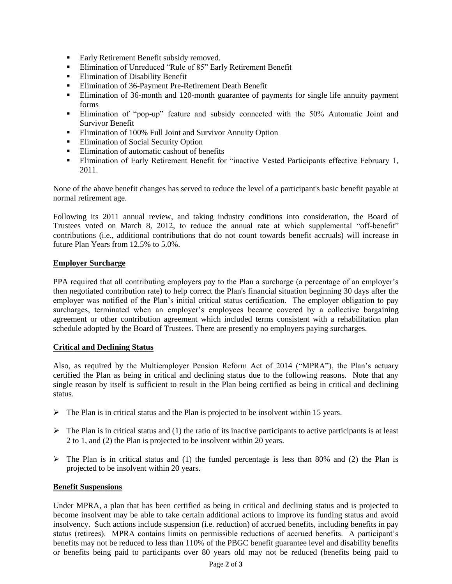- Early Retirement Benefit subsidy removed.
- **Elimination of Unreduced "Rule of 85" Early Retirement Benefit**
- **Elimination of Disability Benefit**
- **Elimination of 36-Payment Pre-Retirement Death Benefit**
- Elimination of 36-month and 120-month guarantee of payments for single life annuity payment forms
- Elimination of "pop-up" feature and subsidy connected with the 50% Automatic Joint and Survivor Benefit
- Elimination of 100% Full Joint and Survivor Annuity Option
- **Elimination of Social Security Option**
- Elimination of automatic cashout of benefits
- **Elimination of Early Retirement Benefit for "inactive Vested Participants effective February 1,** 2011.

None of the above benefit changes has served to reduce the level of a participant's basic benefit payable at normal retirement age.

Following its 2011 annual review, and taking industry conditions into consideration, the Board of Trustees voted on March 8, 2012, to reduce the annual rate at which supplemental "off-benefit" contributions (i.e., additional contributions that do not count towards benefit accruals) will increase in future Plan Years from 12.5% to 5.0%.

### **Employer Surcharge**

PPA required that all contributing employers pay to the Plan a surcharge (a percentage of an employer's then negotiated contribution rate) to help correct the Plan's financial situation beginning 30 days after the employer was notified of the Plan's initial critical status certification. The employer obligation to pay surcharges, terminated when an employer's employees became covered by a collective bargaining agreement or other contribution agreement which included terms consistent with a rehabilitation plan schedule adopted by the Board of Trustees. There are presently no employers paying surcharges.

### **Critical and Declining Status**

Also, as required by the Multiemployer Pension Reform Act of 2014 ("MPRA"), the Plan's actuary certified the Plan as being in critical and declining status due to the following reasons. Note that any single reason by itself is sufficient to result in the Plan being certified as being in critical and declining status.

- $\triangleright$  The Plan is in critical status and the Plan is projected to be insolvent within 15 years.
- $\triangleright$  The Plan is in critical status and (1) the ratio of its inactive participants to active participants is at least 2 to 1, and (2) the Plan is projected to be insolvent within 20 years.
- $\triangleright$  The Plan is in critical status and (1) the funded percentage is less than 80% and (2) the Plan is projected to be insolvent within 20 years.

#### **Benefit Suspensions**

Under MPRA, a plan that has been certified as being in critical and declining status and is projected to become insolvent may be able to take certain additional actions to improve its funding status and avoid insolvency. Such actions include suspension (i.e. reduction) of accrued benefits, including benefits in pay status (retirees). MPRA contains limits on permissible reductions of accrued benefits. A participant's benefits may not be reduced to less than 110% of the PBGC benefit guarantee level and disability benefits or benefits being paid to participants over 80 years old may not be reduced (benefits being paid to